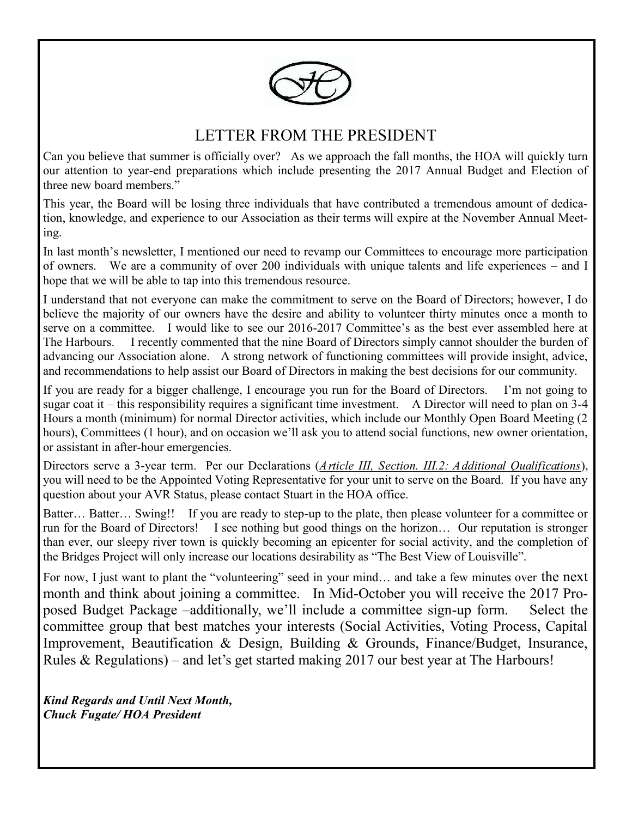

# LETTER FROM THE PRESIDENT

Can you believe that summer is officially over? As we approach the fall months, the HOA will quickly turn our attention to year-end preparations which include presenting the 2017 Annual Budget and Election of three new board members."

This year, the Board will be losing three individuals that have contributed a tremendous amount of dedication, knowledge, and experience to our Association as their terms will expire at the November Annual Meeting.

In last month's newsletter, I mentioned our need to revamp our Committees to encourage more participation of owners. We are a community of over 200 individuals with unique talents and life experiences – and I hope that we will be able to tap into this tremendous resource.

I understand that not everyone can make the commitment to serve on the Board of Directors; however, I do believe the majority of our owners have the desire and ability to volunteer thirty minutes once a month to serve on a committee. I would like to see our 2016-2017 Committee's as the best ever assembled here at The Harbours. I recently commented that the nine Board of Directors simply cannot shoulder the burden of advancing our Association alone. A strong network of functioning committees will provide insight, advice, and recommendations to help assist our Board of Directors in making the best decisions for our community.

If you are ready for a bigger challenge, I encourage you run for the Board of Directors. I'm not going to sugar coat it – this responsibility requires a significant time investment. A Director will need to plan on 3-4 Hours a month (minimum) for normal Director activities, which include our Monthly Open Board Meeting (2 hours), Committees (1 hour), and on occasion we'll ask you to attend social functions, new owner orientation, or assistant in after-hour emergencies.

Directors serve a 3-year term. Per our Declarations (*Article III, Section. III.2: Additional Qualifications*), you will need to be the Appointed Voting Representative for your unit to serve on the Board. If you have any question about your AVR Status, please contact Stuart in the HOA office.

Batter... Batter... Swing!! If you are ready to step-up to the plate, then please volunteer for a committee or run for the Board of Directors! I see nothing but good things on the horizon… Our reputation is stronger than ever, our sleepy river town is quickly becoming an epicenter for social activity, and the completion of the Bridges Project will only increase our locations desirability as "The Best View of Louisville".

For now, I just want to plant the "volunteering" seed in your mind… and take a few minutes over the next month and think about joining a committee. In Mid-October you will receive the 2017 Proposed Budget Package –additionally, we'll include a committee sign-up form. Select the committee group that best matches your interests (Social Activities, Voting Process, Capital Improvement, Beautification & Design, Building & Grounds, Finance/Budget, Insurance, Rules & Regulations) – and let's get started making 2017 our best year at The Harbours!

*Kind Regards and Until Next Month, Chuck Fugate/ HOA President*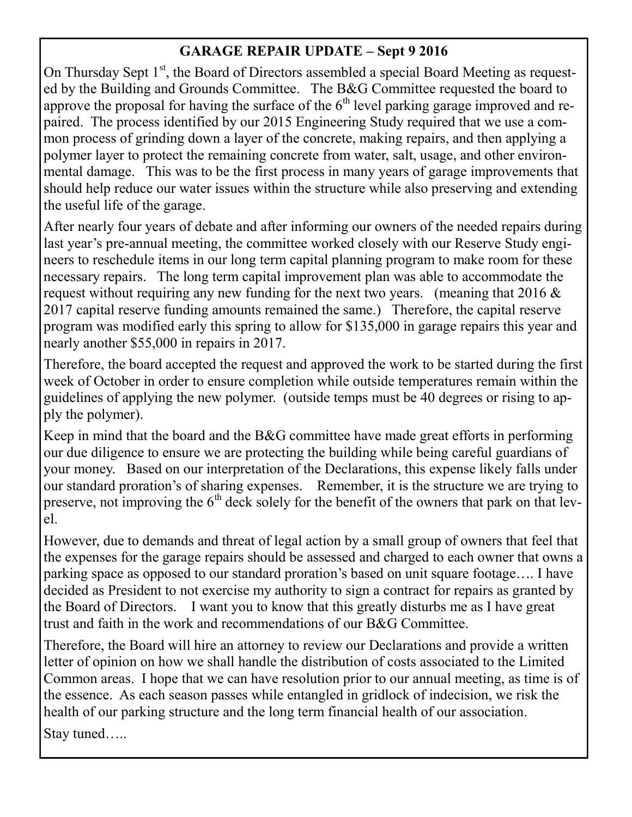## **GARAGE REPAIR UPDATE – Sept 9 2016**

On Thursday Sept  $1<sup>st</sup>$ , the Board of Directors assembled a special Board Meeting as requested by the Building and Grounds Committee. The B&G Committee requested the board to approve the proposal for having the surface of the  $6<sup>th</sup>$  level parking garage improved and repaired. The process identified by our 2015 Engineering Study required that we use a common process of grinding down a layer of the concrete, making repairs, and then applying a polymer layer to protect the remaining concrete from water, salt, usage, and other environmental damage. This was to be the first process in many years of garage improvements that should help reduce our water issues within the structure while also preserving and extending the useful life of the garage.

After nearly four years of debate and after informing our owners of the needed repairs during last year's pre-annual meeting, the committee worked closely with our Reserve Study engineers to reschedule items in our long term capital planning program to make room for these necessary repairs. The long term capital improvement plan was able to accommodate the request without requiring any new funding for the next two years. (meaning that  $2016 \&$ 2017 capital reserve funding amounts remained the same.) Therefore, the capital reserve program was modified early this spring to allow for \$135,000 in garage repairs this year and nearly another \$55,000 in repairs in 2017.

Therefore, the board accepted the request and approved the work to be started during the first week of October in order to ensure completion while outside temperatures remain within the guidelines of applying the new polymer. (outside temps must be 40 degrees or rising to apply the polymer).

Keep in mind that the board and the B&G committee have made great efforts in performing our due diligence to ensure we are protecting the building while being careful guardians of your money. Based on our interpretation of the Declarations, this expense likely falls under our standard proration's of sharing expenses. Remember, it is the structure we are trying to preserve, not improving the  $6<sup>th</sup>$  deck solely for the benefit of the owners that park on that level.

However, due to demands and threat of legal action by a small group of owners that feel that the expenses for the garage repairs should be assessed and charged to each owner that owns a parking space as opposed to our standard proration's based on unit square footage…. I have decided as President to not exercise my authority to sign a contract for repairs as granted by the Board of Directors. I want you to know that this greatly disturbs me as I have great trust and faith in the work and recommendations of our B&G Committee.

Therefore, the Board will hire an attorney to review our Declarations and provide a written letter of opinion on how we shall handle the distribution of costs associated to the Limited Common areas. I hope that we can have resolution prior to our annual meeting, as time is of the essence. As each season passes while entangled in gridlock of indecision, we risk the health of our parking structure and the long term financial health of our association.

Stay tuned…..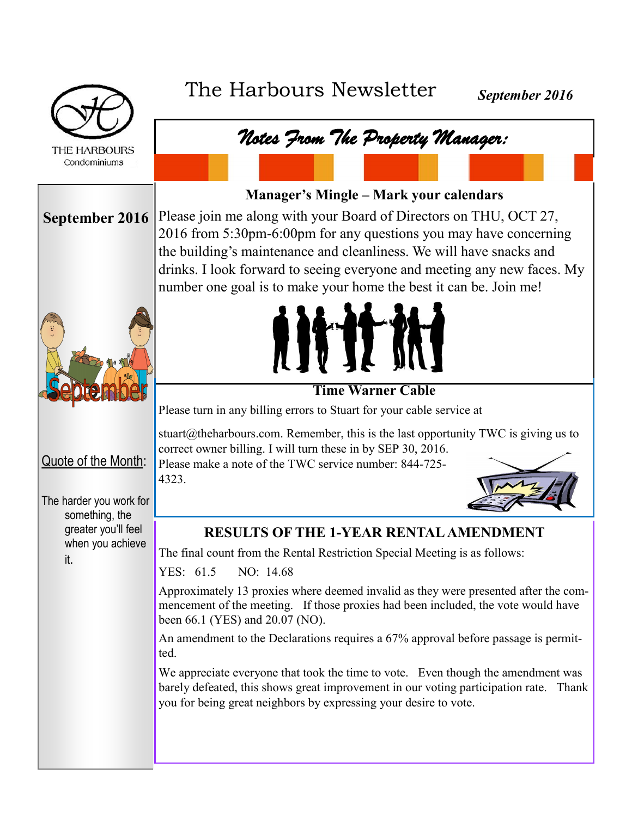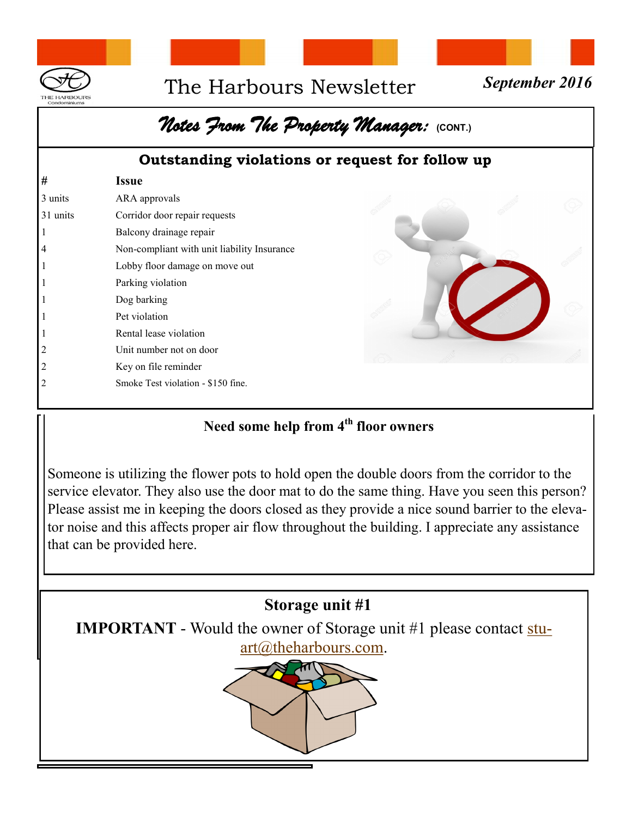

# The Harbours Newsletter *September 2016*



# $\eta$ otes From The Property Manager: **{CONT.**}

#### **Outstanding violations or request for follow up**

| #        | <b>Issue</b>                                |  |  |
|----------|---------------------------------------------|--|--|
| 3 units  | ARA approvals                               |  |  |
| 31 units | Corridor door repair requests               |  |  |
|          | Balcony drainage repair                     |  |  |
|          | Non-compliant with unit liability Insurance |  |  |
|          | Lobby floor damage on move out              |  |  |
|          | Parking violation                           |  |  |
|          | Dog barking                                 |  |  |
|          | Pet violation                               |  |  |
|          | Rental lease violation                      |  |  |
|          | Unit number not on door                     |  |  |
|          | Key on file reminder                        |  |  |
|          | Smoke Test violation - \$150 fine.          |  |  |
|          |                                             |  |  |

## **Need some help from 4th floor owners**

Someone is utilizing the flower pots to hold open the double doors from the corridor to the service elevator. They also use the door mat to do the same thing. Have you seen this person? Please assist me in keeping the doors closed as they provide a nice sound barrier to the elevator noise and this affects proper air flow throughout the building. I appreciate any assistance that can be provided here.

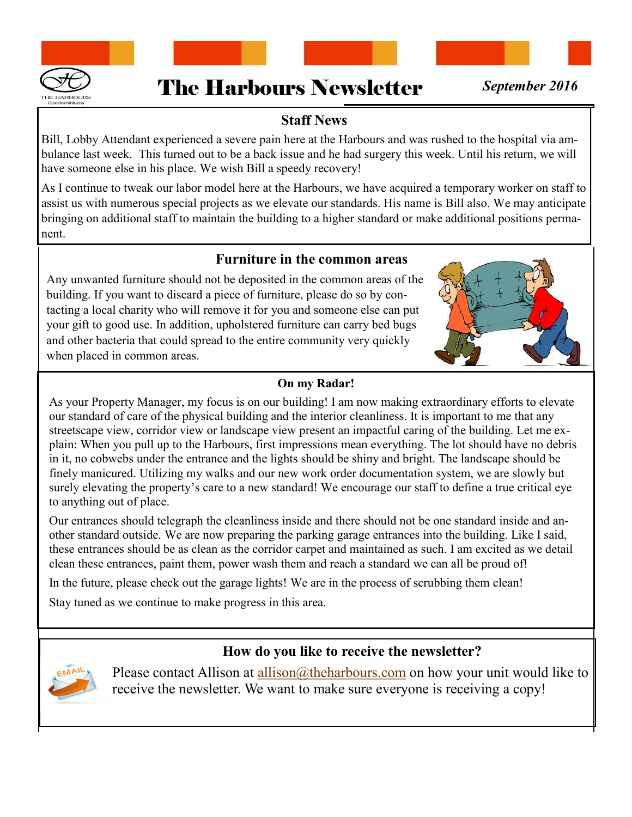



#### **Staff News**

Bill, Lobby Attendant experienced a severe pain here at the Harbours and was rushed to the hospital via ambulance last week. This turned out to be a back issue and he had surgery this week. Until his return, we will have someone else in his place. We wish Bill a speedy recovery!

As I continue to tweak our labor model here at the Harbours, we have acquired a temporary worker on staff to assist us with numerous special projects as we elevate our standards. His name is Bill also. We may anticipate bringing on additional staff to maintain the building to a higher standard or make additional positions permanent.

#### **Furniture in the common areas**

Any unwanted furniture should not be deposited in the common areas of the building. If you want to discard a piece of furniture, please do so by contacting a local charity who will remove it for you and someone else can put your gift to good use. In addition, upholstered furniture can carry bed bugs and other bacteria that could spread to the entire community very quickly when placed in common areas.

#### **On my Radar!**

As your Property Manager, my focus is on our building! I am now making extraordinary efforts to elevate our standard of care of the physical building and the interior cleanliness. It is important to me that any streetscape view, corridor view or landscape view present an impactful caring of the building. Let me explain: When you pull up to the Harbours, first impressions mean everything. The lot should have no debris in it, no cobwebs under the entrance and the lights should be shiny and bright. The landscape should be finely manicured. Utilizing my walks and our new work order documentation system, we are slowly but surely elevating the property's care to a new standard! We encourage our staff to define a true critical eye to anything out of place.

Our entrances should telegraph the cleanliness inside and there should not be one standard inside and another standard outside. We are now preparing the parking garage entrances into the building. Like I said, these entrances should be as clean as the corridor carpet and maintained as such. I am excited as we detail clean these entrances, paint them, power wash them and reach a standard we can all be proud of!

In the future, please check out the garage lights! We are in the process of scrubbing them clean!

Stay tuned as we continue to make progress in this area.

#### **How do you like to receive the newsletter?**



Please contact Allison at [allison@theharbours.com](mailto:allison@theharbours.com) on how your unit would like to receive the newsletter. We want to make sure everyone is receiving a copy!



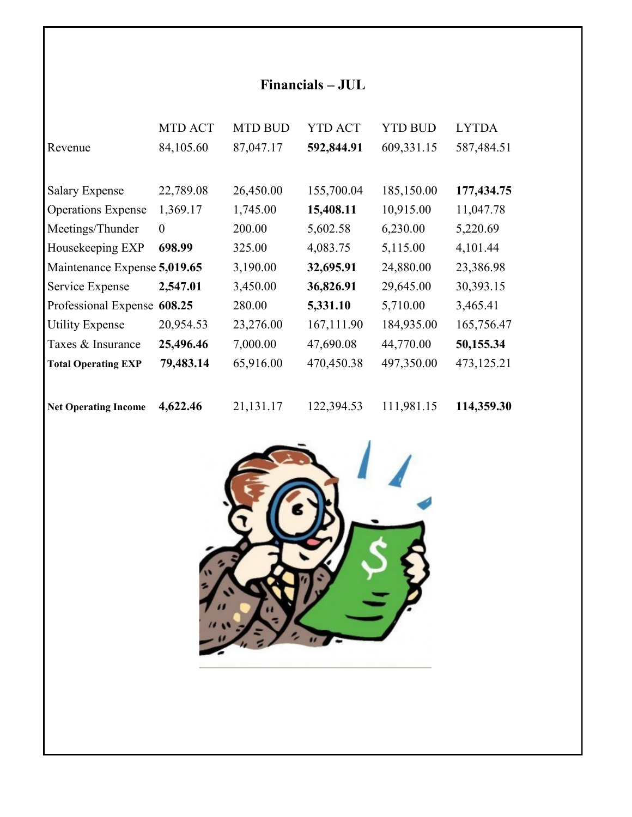# **Financials – JUL**

|                              | <b>MTD ACT</b> | <b>MTD BUD</b> | <b>YTD ACT</b> | <b>YTD BUD</b> | <b>LYTDA</b> |
|------------------------------|----------------|----------------|----------------|----------------|--------------|
| Revenue                      | 84,105.60      | 87,047.17      | 592,844.91     | 609,331.15     | 587,484.51   |
|                              |                |                |                |                |              |
| <b>Salary Expense</b>        | 22,789.08      | 26,450.00      | 155,700.04     | 185,150.00     | 177,434.75   |
| <b>Operations Expense</b>    | 1,369.17       | 1,745.00       | 15,408.11      | 10,915.00      | 11,047.78    |
| Meetings/Thunder             | $\theta$       | 200.00         | 5,602.58       | 6,230.00       | 5,220.69     |
| Housekeeping EXP             | 698.99         | 325.00         | 4,083.75       | 5,115.00       | 4,101.44     |
| Maintenance Expense 5,019.65 |                | 3,190.00       | 32,695.91      | 24,880.00      | 23,386.98    |
| Service Expense              | 2,547.01       | 3,450.00       | 36,826.91      | 29,645.00      | 30,393.15    |
| Professional Expense         | 608.25         | 280.00         | 5,331.10       | 5,710.00       | 3,465.41     |
| <b>Utility Expense</b>       | 20,954.53      | 23,276.00      | 167,111.90     | 184,935.00     | 165,756.47   |
| Taxes & Insurance            | 25,496.46      | 7,000.00       | 47,690.08      | 44,770.00      | 50,155.34    |
| <b>Total Operating EXP</b>   | 79,483.14      | 65,916.00      | 470,450.38     | 497,350.00     | 473,125.21   |
|                              |                |                |                |                |              |
| <b>Net Operating Income</b>  | 4,622.46       | 21,131.17      | 122,394.53     | 111,981.15     | 114,359.30   |

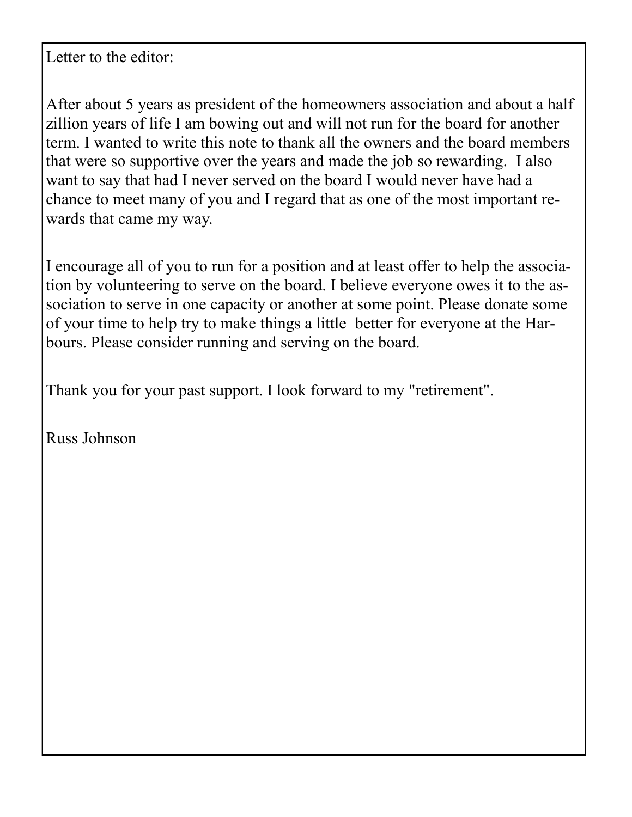Letter to the editor:

After about 5 years as president of the homeowners association and about a half zillion years of life I am bowing out and will not run for the board for another term. I wanted to write this note to thank all the owners and the board members that were so supportive over the years and made the job so rewarding. I also want to say that had I never served on the board I would never have had a chance to meet many of you and I regard that as one of the most important rewards that came my way.

I encourage all of you to run for a position and at least offer to help the association by volunteering to serve on the board. I believe everyone owes it to the association to serve in one capacity or another at some point. Please donate some of your time to help try to make things a little better for everyone at the Harbours. Please consider running and serving on the board.

Thank you for your past support. I look forward to my "retirement".

Russ Johnson